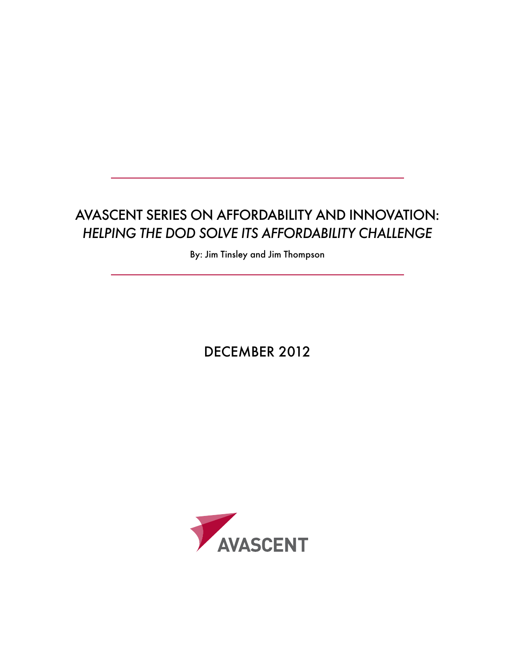# Avascent Series on Affordability and Innovation: *Helping the DoD Solve its Affordability Challenge*

By: Jim Tinsley and Jim Thompson

DECEMBER 2012

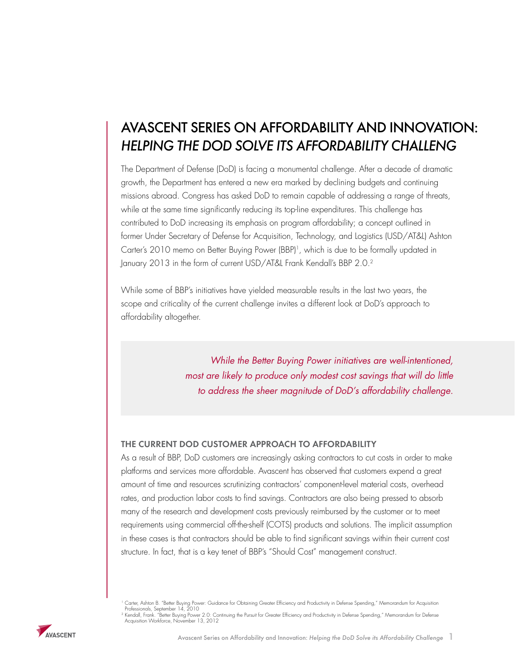# Avascent Series on Affordability and Innovation: *Helping the DoD Solve its Affordability Challeng*

The Department of Defense (DoD) is facing a monumental challenge. After a decade of dramatic growth, the Department has entered a new era marked by declining budgets and continuing missions abroad. Congress has asked DoD to remain capable of addressing a range of threats, while at the same time significantly reducing its top-line expenditures. This challenge has contributed to DoD increasing its emphasis on program affordability; a concept outlined in former Under Secretary of Defense for Acquisition, Technology, and Logistics (USD/AT&L) Ashton Carter's 2010 memo on Better Buying Power (BBP)<sup>1</sup>, which is due to be formally updated in January 2013 in the form of current USD/AT&L Frank Kendall's BBP 2.0.<sup>2</sup>

While some of BBP's initiatives have yielded measurable results in the last two years, the scope and criticality of the current challenge invites a different look at DoD's approach to affordability altogether.

> *While the Better Buying Power initiatives are well-intentioned, most are likely to produce only modest cost savings that will do little to address the sheer magnitude of DoD's affordability challenge.*

# THE CURRENT DOD CUSTOMER APPROACH TO AFFORDABILITY

As a result of BBP, DoD customers are increasingly asking contractors to cut costs in order to make platforms and services more affordable. Avascent has observed that customers expend a great amount of time and resources scrutinizing contractors' component-level material costs, overhead rates, and production labor costs to find savings. Contractors are also being pressed to absorb many of the research and development costs previously reimbursed by the customer or to meet requirements using commercial off-the-shelf (COTS) products and solutions. The implicit assumption in these cases is that contractors should be able to find significant savings within their current cost structure. In fact, that is a key tenet of BBP's "Should Cost" management construct.



<sup>1</sup> Carter, Ashton B. "Better Buying Power: Guidance for Obtaining Greater Efficiency and Productivity in Defense Spending," Memorandum for Acquisition - Professionals, September 14, 2010<br>? Kendall, Frank. "Better Buying Power 2.0: Continuing the Pursuit for Greater Efficiency and Productivity in Defense Spending," Memorandum for Defense<br>- Acquisition Workforce, November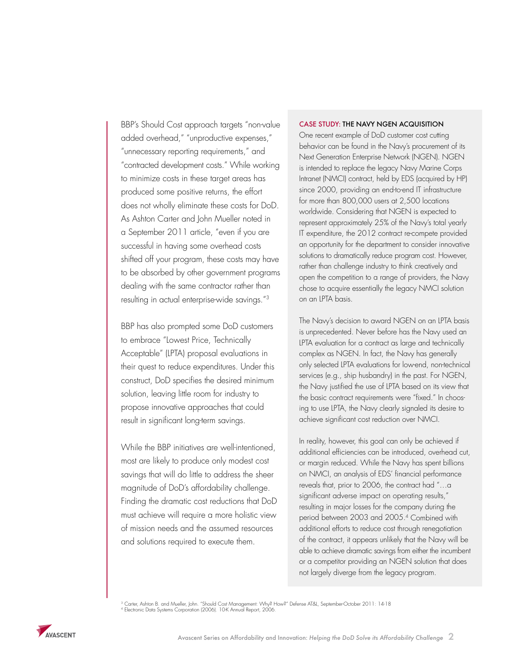BBP's Should Cost approach targets "non-value added overhead," "unproductive expenses," "unnecessary reporting requirements," and "contracted development costs." While working to minimize costs in these target areas has produced some positive returns, the effort does not wholly eliminate these costs for DoD. As Ashton Carter and John Mueller noted in a September 2011 article, "even if you are successful in having some overhead costs shifted off your program, these costs may have to be absorbed by other government programs dealing with the same contractor rather than resulting in actual enterprise-wide savings."3

BBP has also prompted some DoD customers to embrace "Lowest Price, Technically Acceptable" (LPTA) proposal evaluations in their quest to reduce expenditures. Under this construct, DoD specifies the desired minimum solution, leaving little room for industry to propose innovative approaches that could result in significant long-term savings.

While the BBP initiatives are well-intentioned, most are likely to produce only modest cost savings that will do little to address the sheer magnitude of DoD's affordability challenge. Finding the dramatic cost reductions that DoD must achieve will require a more holistic view of mission needs and the assumed resources and solutions required to execute them.

#### CASE STUDY: THE NAVY NGEN ACQUISITION

One recent example of DoD customer cost cutting behavior can be found in the Navy's procurement of its Next Generation Enterprise Network (NGEN). NGEN is intended to replace the legacy Navy Marine Corps Intranet (NMCI) contract, held by EDS (acquired by HP) since 2000, providing an end-to-end IT infrastructure for more than 800,000 users at 2,500 locations worldwide. Considering that NGEN is expected to represent approximately 25% of the Navy's total yearly IT expenditure, the 2012 contract re-compete provided an opportunity for the department to consider innovative solutions to dramatically reduce program cost. However, rather than challenge industry to think creatively and open the competition to a range of providers, the Navy chose to acquire essentially the legacy NMCI solution on an LPTA basis.

The Navy's decision to award NGEN on an LPTA basis is unprecedented. Never before has the Navy used an LPTA evaluation for a contract as large and technically complex as NGEN. In fact, the Navy has generally only selected LPTA evaluations for low-end, non-technical services (e.g., ship husbandry) in the past. For NGEN, the Navy justified the use of LPTA based on its view that the basic contract requirements were "fixed." In choosing to use LPTA, the Navy clearly signaled its desire to achieve significant cost reduction over NMCI.

In reality, however, this goal can only be achieved if additional efficiencies can be introduced, overhead cut, or margin reduced. While the Navy has spent billions on NMCI, an analysis of EDS' financial performance reveals that, prior to 2006, the contract had "…a significant adverse impact on operating results," resulting in major losses for the company during the period between 2003 and 2005.4 Combined with additional efforts to reduce cost through renegotiation of the contract, it appears unlikely that the Navy will be able to achieve dramatic savings from either the incumbent or a competitor providing an NGEN solution that does not largely diverge from the legacy program.

<sup>3</sup> Carter, Ashton B. and Mueller, John. "Should Cost Management: Why? How?" Defense AT&L, September-October 2011: 14-18<br><sup>4</sup> Electronic Data Systems Corporation (2006). 10-K Annual Report, 2006.

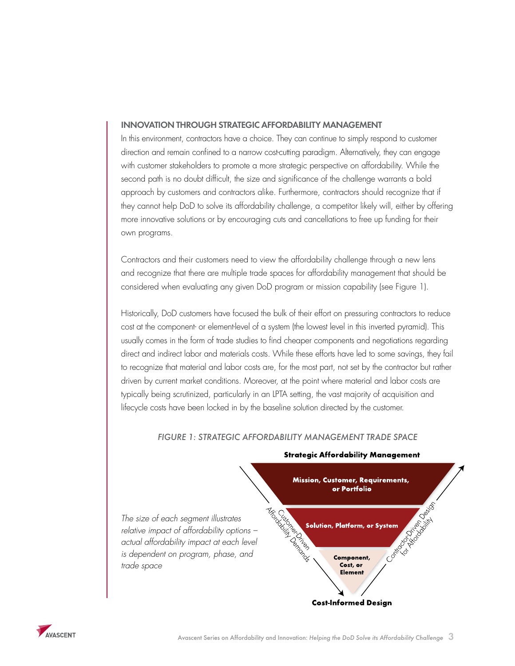## INNOVATION THROUGH STRATEGIC AFFORDABILITY MANAGEMENT

In this environment, contractors have a choice. They can continue to simply respond to customer direction and remain confined to a narrow cost-cutting paradigm. Alternatively, they can engage with customer stakeholders to promote a more strategic perspective on affordability. While the second path is no doubt difficult, the size and significance of the challenge warrants a bold approach by customers and contractors alike. Furthermore, contractors should recognize that if they cannot help DoD to solve its affordability challenge, a competitor likely will, either by offering more innovative solutions or by encouraging cuts and cancellations to free up funding for their own programs.

Contractors and their customers need to view the affordability challenge through a new lens and recognize that there are multiple trade spaces for affordability management that should be considered when evaluating any given DoD program or mission capability (see Figure 1).

Historically, DoD customers have focused the bulk of their effort on pressuring contractors to reduce cost at the component- or element-level of a system (the lowest level in this inverted pyramid). This usually comes in the form of trade studies to find cheaper components and negotiations regarding direct and indirect labor and materials costs. While these efforts have led to some savings, they fail to recognize that material and labor costs are, for the most part, not set by the contractor but rather driven by current market conditions. Moreover, at the point where material and labor costs are typically being scrutinized, particularly in an LPTA setting, the vast majority of acquisition and lifecycle costs have been locked in by the baseline solution directed by the customer.

*FIGURE 1: STRATEGIC AFFORDABILITY MANAGEMENT TRADE SPACE*



### **Strategic Affordability Management**

**Cost-Informed Design** 

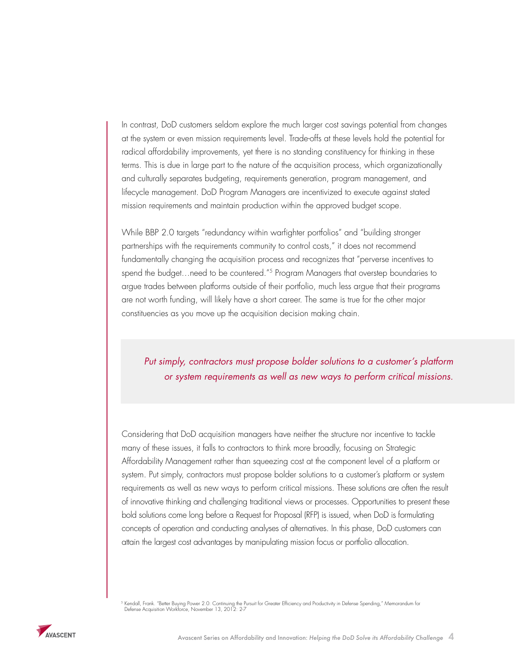In contrast, DoD customers seldom explore the much larger cost savings potential from changes at the system or even mission requirements level. Trade-offs at these levels hold the potential for radical affordability improvements, yet there is no standing constituency for thinking in these terms. This is due in large part to the nature of the acquisition process, which organizationally and culturally separates budgeting, requirements generation, program management, and lifecycle management. DoD Program Managers are incentivized to execute against stated mission requirements and maintain production within the approved budget scope.

While BBP 2.0 targets "redundancy within warfighter portfolios" and "building stronger partnerships with the requirements community to control costs," it does not recommend fundamentally changing the acquisition process and recognizes that "perverse incentives to spend the budget…need to be countered."5 Program Managers that overstep boundaries to argue trades between platforms outside of their portfolio, much less argue that their programs are not worth funding, will likely have a short career. The same is true for the other major constituencies as you move up the acquisition decision making chain.

# *Put simply, contractors must propose bolder solutions to a customer's platform or system requirements as well as new ways to perform critical missions.*

Considering that DoD acquisition managers have neither the structure nor incentive to tackle many of these issues, it falls to contractors to think more broadly, focusing on Strategic Affordability Management rather than squeezing cost at the component level of a platform or system. Put simply, contractors must propose bolder solutions to a customer's platform or system requirements as well as new ways to perform critical missions. These solutions are often the result of innovative thinking and challenging traditional views or processes. Opportunities to present these bold solutions come long before a Request for Proposal (RFP) is issued, when DoD is formulating concepts of operation and conducting analyses of alternatives. In this phase, DoD customers can attain the largest cost advantages by manipulating mission focus or portfolio allocation.

<sup>5</sup> Kendall, Frank. "Better Buying Power 2.0: Continuing the Pursuit for Greater Efficiency and Productivity in Defense Spending," Memorandum for<br>Defense Acquisition Workforce, November 13, 2012: 2-7

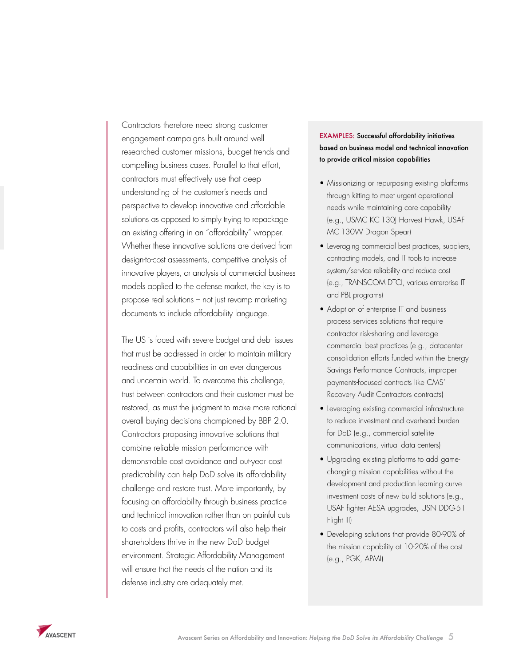Contractors therefore need strong customer engagement campaigns built around well researched customer missions, budget trends and compelling business cases. Parallel to that effort, contractors must effectively use that deep understanding of the customer's needs and perspective to develop innovative and affordable solutions as opposed to simply trying to repackage an existing offering in an "affordability" wrapper. Whether these innovative solutions are derived from design-to-cost assessments, competitive analysis of innovative players, or analysis of commercial business models applied to the defense market, the key is to propose real solutions – not just revamp marketing documents to include affordability language.

The US is faced with severe budget and debt issues that must be addressed in order to maintain military readiness and capabilities in an ever dangerous and uncertain world. To overcome this challenge, trust between contractors and their customer must be restored, as must the judgment to make more rational overall buying decisions championed by BBP 2.0. Contractors proposing innovative solutions that combine reliable mission performance with demonstrable cost avoidance and out-year cost predictability can help DoD solve its affordability challenge and restore trust. More importantly, by focusing on affordability through business practice and technical innovation rather than on painful cuts to costs and profits, contractors will also help their shareholders thrive in the new DoD budget environment. Strategic Affordability Management will ensure that the needs of the nation and its defense industry are adequately met.

# EXAMPLES: Successful affordability initiatives based on business model and technical innovation to provide critical mission capabilities

- Missionizing or repurposing existing platforms through kitting to meet urgent operational needs while maintaining core capability (e.g., USMC KC-130J Harvest Hawk, USAF MC-130W Dragon Spear)
- Leveraging commercial best practices, suppliers, contracting models, and IT tools to increase system/service reliability and reduce cost (e.g., TRANSCOM DTCI, various enterprise IT and PBL programs)
- Adoption of enterprise IT and business process services solutions that require contractor risk-sharing and leverage commercial best practices (e.g., datacenter consolidation efforts funded within the Energy Savings Performance Contracts, improper payments-focused contracts like CMS' Recovery Audit Contractors contracts)
- Leveraging existing commercial infrastructure to reduce investment and overhead burden for DoD (e.g., commercial satellite communications, virtual data centers)
- • Upgrading existing platforms to add gamechanging mission capabilities without the development and production learning curve investment costs of new build solutions (e.g., USAF fighter AESA upgrades, USN DDG-51 Flight III)
- Developing solutions that provide 80-90% of the mission capability at 10-20% of the cost (e.g., PGK, APMI)

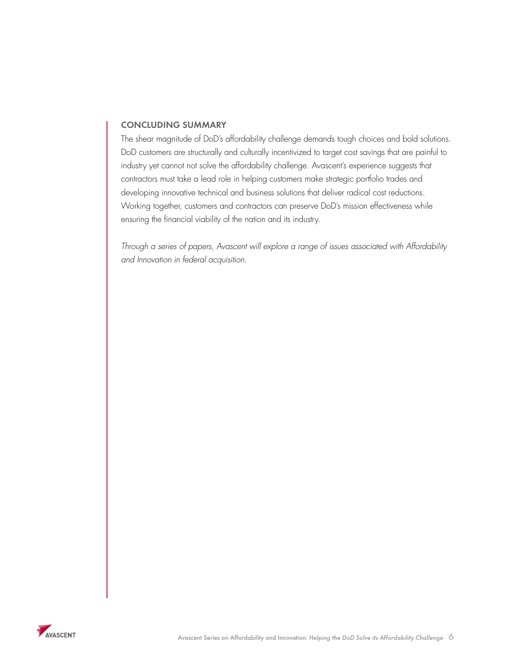# CONCLUDING SUMMARY

The shear magnitude of DoD's affordability challenge demands tough choices and bold solutions. DoD customers are structurally and culturally incentivized to target cost savings that are painful to industry yet cannot not solve the affordability challenge. Avascent's experience suggests that contractors must take a lead role in helping customers make strategic portfolio trades and developing innovative technical and business solutions that deliver radical cost reductions. Working together, customers and contractors can preserve DoD's mission effectiveness while ensuring the financial viability of the nation and its industry.

*Through a series of papers, Avascent will explore a range of issues associated with Affordability and Innovation in federal acquisition.*